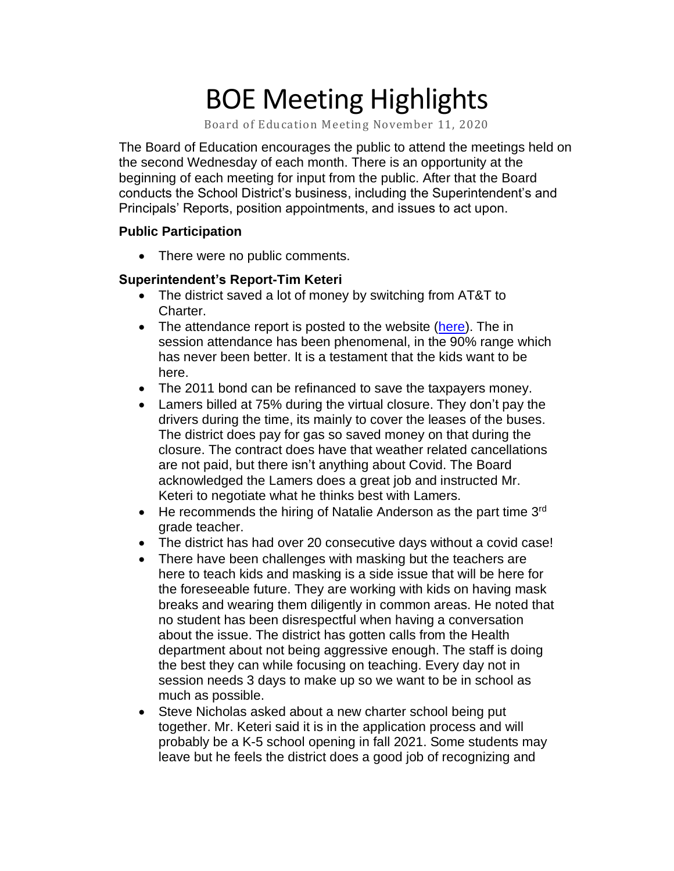# BOE Meeting Highlights

Board of Education Meeting November 11, 2020

 The Board of Education encourages the public to attend the meetings held on the second Wednesday of each month. There is an opportunity at the beginning of each meeting for input from the public. After that the Board conducts the School District's business, including the Superintendent's and Principals' Reports, position appointments, and issues to act upon.

#### **Public Participation**

• There were no public comments.

## **Superintendent's Report-Tim Keteri**

- The district saved a lot of money by switching from AT&T to Charter.
- The attendance report is posted to the website [\(here\)](http://adams.k12.mi.us/covid.php). The in session attendance has been phenomenal, in the 90% range which has never been better. It is a testament that the kids want to be here.
- The 2011 bond can be refinanced to save the taxpayers money.
- Lamers billed at 75% during the virtual closure. They don't pay the drivers during the time, its mainly to cover the leases of the buses. The district does pay for gas so saved money on that during the closure. The contract does have that weather related cancellations are not paid, but there isn't anything about Covid. The Board acknowledged the Lamers does a great job and instructed Mr. Keteri to negotiate what he thinks best with Lamers.
- He recommends the hiring of Natalie Anderson as the part time  $3<sup>rd</sup>$ grade teacher.
- The district has had over 20 consecutive days without a covid case!
- There have been challenges with masking but the teachers are here to teach kids and masking is a side issue that will be here for the foreseeable future. They are working with kids on having mask breaks and wearing them diligently in common areas. He noted that no student has been disrespectful when having a conversation about the issue. The district has gotten calls from the Health department about not being aggressive enough. The staff is doing the best they can while focusing on teaching. Every day not in session needs 3 days to make up so we want to be in school as much as possible.
- Steve Nicholas asked about a new charter school being put together. Mr. Keteri said it is in the application process and will probably be a K-5 school opening in fall 2021. Some students may leave but he feels the district does a good job of recognizing and